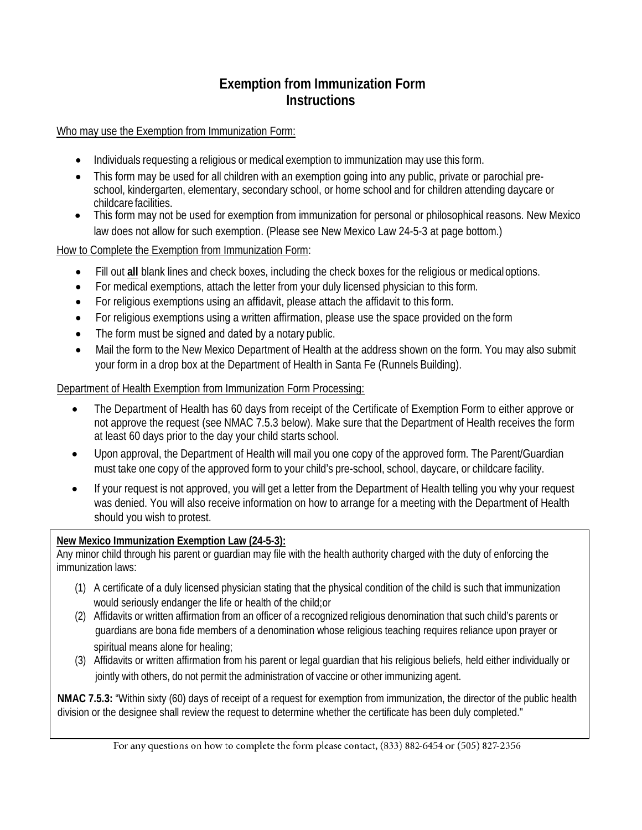### **Exemption from Immunization Form Instructions**

Who may use the Exemption from Immunization Form:

- Individuals requesting a religious or medical exemption to immunization may use this form.
- This form may be used for all children with an exemption going into any public, private or parochial preschool, kindergarten, elementary, secondary school, or home school and for children attending daycare or childcare facilities.
- This form may not be used for exemption from immunization for personal or philosophical reasons. New Mexico law does not allow for such exemption. (Please see New Mexico Law 24-5-3 at page bottom.)

How to Complete the Exemption from Immunization Form:

- Fill out **all** blank lines and check boxes, including the check boxes for the religious or medicaloptions.
- For medical exemptions, attach the letter from your duly licensed physician to this form.
- For religious exemptions using an affidavit, please attach the affidavit to this form.
- For religious exemptions using a written affirmation, please use the space provided on the form
- The form must be signed and dated by a notary public.
- Mail the form to the New Mexico Department of Health at the address shown on the form. You may also submit your form in a drop box at the Department of Health in Santa Fe (Runnels Building).

#### Department of Health Exemption from Immunization Form Processing:

- The Department of Health has 60 days from receipt of the Certificate of Exemption Form to either approve or not approve the request (see NMAC 7.5.3 below). Make sure that the Department of Health receives the form at least 60 days prior to the day your child starts school.
- Upon approval, the Department of Health will mail you one copy of the approved form. The Parent/Guardian must take one copy of the approved form to your child's pre-school, school, daycare, or childcare facility.
- If your request is not approved, you will get a letter from the Department of Health telling you why your request was denied. You will also receive information on how to arrange for a meeting with the Department of Health should you wish to protest.

#### **New Mexico Immunization Exemption Law (24-5-3):**

Any minor child through his parent or guardian may file with the health authority charged with the duty of enforcing the immunization laws:

- (1) A certificate of a duly licensed physician stating that the physical condition of the child is such that immunization would seriously endanger the life or health of the child;or
- (2) Affidavits or written affirmation from an officer of a recognized religious denomination that such child's parents or guardians are bona fide members of a denomination whose religious teaching requires reliance upon prayer or spiritual means alone for healing;
- (3) Affidavits or written affirmation from his parent or legal guardian that his religious beliefs, held either individually or jointly with others, do not permit the administration of vaccine or other immunizing agent.

**NMAC 7.5.3:** "Within sixty (60) days of receipt of a request for exemption from immunization, the director of the public health division or the designee shall review the request to determine whether the certificate has been duly completed."